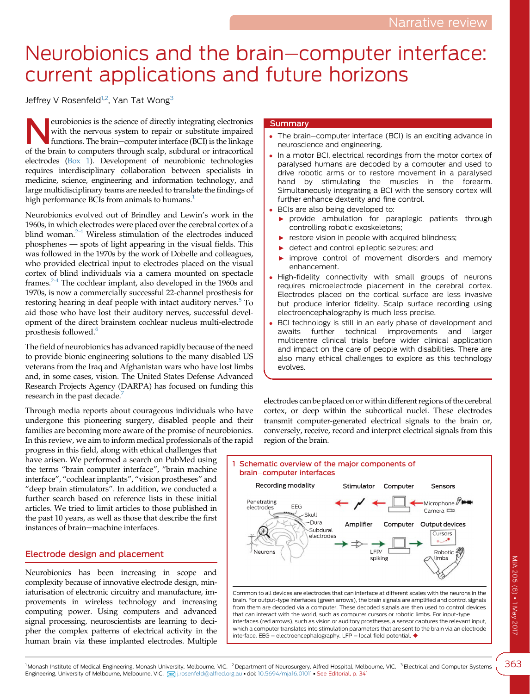# Neurobionics and the brain-computer interface: current applications and future horizons

Jeffrey V Rosenfeld<sup>1,2</sup>, Yan Tat Wong<sup>3</sup>

eurobionics is the science of directly integrating electronics<br>with the nervous system to repair or substitute impaired<br>functions. The brain-computer interface (BCI) is the linkage<br>of the brain to computers through scalp, with the nervous system to repair or substitute impaired of the brain to computers through scalp, subdural or intracortical electrodes (Box 1). Development of neurobionic technologies requires interdisciplinary collaboration between specialists in medicine, science, engineering and information technology, and large multidisciplinary teams are needed to translate the findings of high performance BCIs from animals to humans.<sup>[1](#page-4-0)</sup>

Neurobionics evolved out of Brindley and Lewin's work in the 1960s, in which electrodes were placed over the cerebral cortex of a blind woman.<sup>[2-4](#page-4-0)</sup> Wireless stimulation of the electrodes induced phosphenes — spots of light appearing in the visual fields. This was followed in the 1970s by the work of Dobelle and colleagues, who provided electrical input to electrodes placed on the visual cortex of blind individuals via a camera mounted on spectacle frames. $2-4$  The cochlear implant, also developed in the 1960s and 1970s, is now a commercially successful 22-channel prosthesis for restoring hearing in deaf people with intact auditory nerves.<sup>[5](#page-4-0)</sup> To aid those who have lost their auditory nerves, successful development of the direct brainstem cochlear nucleus multi-electrode prosthesis followed.<sup>[6](#page-4-0)</sup>

The field of neurobionics has advanced rapidly because of the need to provide bionic engineering solutions to the many disabled US veterans from the Iraq and Afghanistan wars who have lost limbs and, in some cases, vision. The United States Defense Advanced Research Projects Agency (DARPA) has focused on funding this research in the past decade.<sup>[7](#page-4-0)</sup>

Through media reports about courageous individuals who have undergone this pioneering surgery, disabled people and their families are becoming more aware of the promise of neurobionics. In this review, we aim to inform medical professionals of the rapid

progress in this field, along with ethical challenges that have arisen. We performed a search on PubMed using the terms "brain computer interface", "brain machine interface", "cochlear implants", "vision prostheses" and "deep brain stimulators". In addition, we conducted a further search based on reference lists in these initial articles. We tried to limit articles to those published in the past 10 years, as well as those that describe the first instances of brain-machine interfaces.

# Electrode design and placement

Neurobionics has been increasing in scope and complexity because of innovative electrode design, miniaturisation of electronic circuitry and manufacture, improvements in wireless technology and increasing computing power. Using computers and advanced signal processing, neuroscientists are learning to decipher the complex patterns of electrical activity in the human brain via these implanted electrodes. Multiple

# Summary

- -The brain-computer interface (BCI) is an exciting advance in neuroscience and engineering.
- - In a motor BCI, electrical recordings from the motor cortex of paralysed humans are decoded by a computer and used to drive robotic arms or to restore movement in a paralysed hand by stimulating the muscles in the forearm. Simultaneously integrating a BCI with the sensory cortex will further enhance dexterity and fine control.
- BCIs are also being developed to:
	- provide ambulation for paraplegic patients through controlling robotic exoskeletons;
	- $\blacktriangleright$  restore vision in people with acquired blindness;
	- detect and control epileptic seizures; and
	- **Independent** improve control of movement disorders and memory enhancement.
- High-fidelity connectivity with small groups of neurons requires microelectrode placement in the cerebral cortex. Electrodes placed on the cortical surface are less invasive but produce inferior fidelity. Scalp surface recording using electroencephalography is much less precise.
- - BCI technology is still in an early phase of development and awaits further technical improvements and larger multicentre clinical trials before wider clinical application and impact on the care of people with disabilities. There are also many ethical challenges to explore as this technology evolves.

electrodes can be placed on or within different regions of the cerebral cortex, or deep within the subcortical nuclei. These electrodes transmit computer-generated electrical signals to the brain or, conversely, receive, record and interpret electrical signals from this region of the brain.



from them are decoded via a computer. These decoded signals are then used to control devices that can interact with the world, such as computer cursors or robotic limbs. For input-type interfaces (red arrows), such as vision or auditory prostheses, a sensor captures the relevant input, which a computer translates into stimulation parameters that are sent to the brain via an electrode  $interface. EEG = electroencephalography. LFP = local field potential.$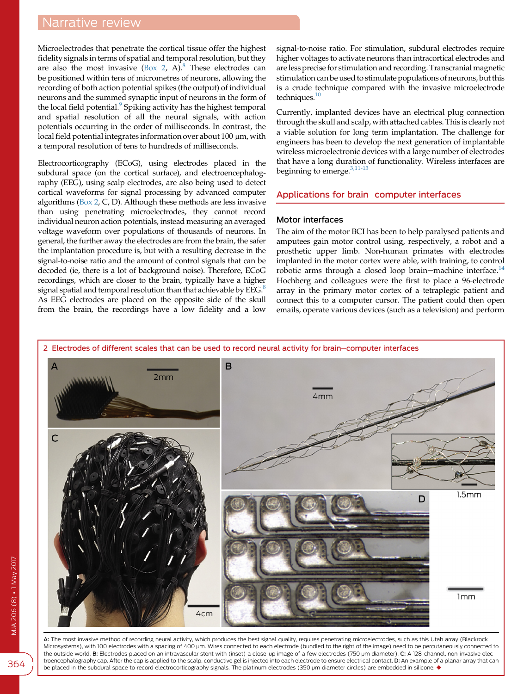<span id="page-1-0"></span>Microelectrodes that penetrate the cortical tissue offer the highest fidelity signals in terms of spatial and temporal resolution, but they are also the most invasive (Box 2, A).<sup>8</sup> These electrodes can be positioned within tens of micrometres of neurons, allowing the recording of both action potential spikes (the output) of individual neurons and the summed synaptic input of neurons in the form of the local field potential.<sup>[9](#page-4-0)</sup> Spiking activity has the highest temporal and spatial resolution of all the neural signals, with action potentials occurring in the order of milliseconds. In contrast, the local field potential integrates information over about 100 um, with a temporal resolution of tens to hundreds of milliseconds.

Electrocorticography (ECoG), using electrodes placed in the subdural space (on the cortical surface), and electroencephalography (EEG), using scalp electrodes, are also being used to detect cortical waveforms for signal processing by advanced computer algorithms (Box 2, C, D). Although these methods are less invasive than using penetrating microelectrodes, they cannot record individual neuron action potentials, instead measuring an averaged voltage waveform over populations of thousands of neurons. In general, the further away the electrodes are from the brain, the safer the implantation procedure is, but with a resulting decrease in the signal-to-noise ratio and the amount of control signals that can be decoded (ie, there is a lot of background noise). Therefore, ECoG recordings, which are closer to the brain, typically have a higher signal spatial and temporal resolution than that achievable by EEG. $8$ As EEG electrodes are placed on the opposite side of the skull from the brain, the recordings have a low fidelity and a low

signal-to-noise ratio. For stimulation, subdural electrodes require higher voltages to activate neurons than intracortical electrodes and are less precise for stimulation and recording. Transcranial magnetic stimulation can be used to stimulate populations of neurons, but this is a crude technique compared with the invasive microelectrode techniques.<sup>[10](#page-4-0)</sup>

Currently, implanted devices have an electrical plug connection through the skull and scalp, with attached cables. This is clearly not a viable solution for long term implantation. The challenge for engineers has been to develop the next generation of implantable wireless microelectronic devices with a large number of electrodes that have a long duration of functionality. Wireless interfaces are beginning to emerge.<sup>[3,11-13](#page-4-0)</sup>

## Applications for brain-computer interfaces

#### Motor interfaces

The aim of the motor BCI has been to help paralysed patients and amputees gain motor control using, respectively, a robot and a prosthetic upper limb. Non-human primates with electrodes implanted in the motor cortex were able, with training, to control robotic arms through a closed loop brain-machine interface.<sup>[14](#page-4-0)</sup> Hochberg and colleagues were the first to place a 96-electrode array in the primary motor cortex of a tetraplegic patient and connect this to a computer cursor. The patient could then open emails, operate various devices (such as a television) and perform



A: The most invasive method of recording neural activity, which produces the best signal quality, requires penetrating microelectrodes, such as this Utah array (Blackrock Microsystems), with 100 electrodes with a spacing of 400 µm. Wires connected to each electrode (bundled to the right of the image) need to be percutaneously connected to the outside world. B: Electrodes placed on an intravascular stent with (inset) a close-up image of a few electrodes (750 µm diameter). C: A 128-channel, non-invasive electroencephalography cap. After the cap is applied to the scalp, conductive gel is injected into each electrode to ensure electrical contact. D: An example of a planar array that can be placed in the subdural space to record electrocorticography signals. The platinum electrodes (350 µm diameter circles) are embedded in silicone.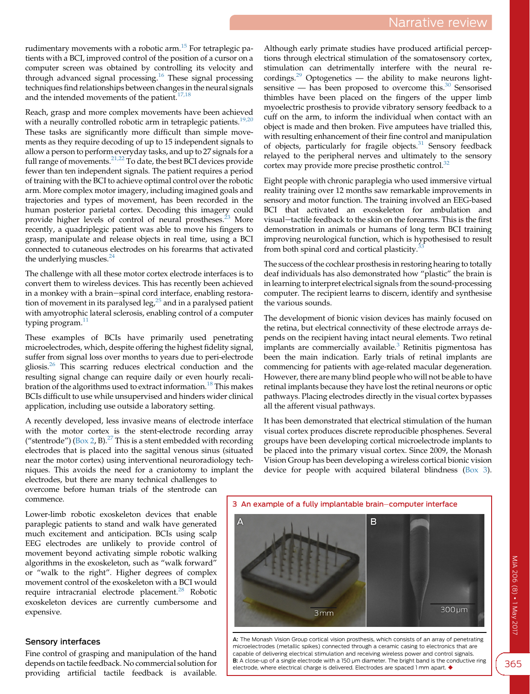<span id="page-2-0"></span>rudimentary movements with a robotic arm.<sup>15</sup> For tetraplegic patients with a BCI, improved control of the position of a cursor on a computer screen was obtained by controlling its velocity and through advanced signal processing.<sup>[16](#page-4-0)</sup> These signal processing techniques find relationships between changes in the neural signals and the intended movements of the patient.<sup>[17,18](#page-4-0)</sup>

Reach, grasp and more complex movements have been achieved with a neurally controlled robotic arm in tetraplegic patients.<sup>19,</sup> These tasks are significantly more difficult than simple movements as they require decoding of up to 15 independent signals to allow a person to perform everyday tasks, and up to 27 signals for a full range of movements.  $2^{1,22}$  To date, the best BCI devices provide fewer than ten independent signals. The patient requires a period of training with the BCI to achieve optimal control over the robotic arm. More complex motor imagery, including imagined goals and trajectories and types of movement, has been recorded in the human posterior parietal cortex. Decoding this imagery could provide higher levels of control of neural prostheses.<sup>[23](#page-5-0)</sup> More recently, a quadriplegic patient was able to move his fingers to grasp, manipulate and release objects in real time, using a BCI connected to cutaneous electrodes on his forearms that activated the underlying muscles.<sup>[24](#page-5-0)</sup>

The challenge with all these motor cortex electrode interfaces is to convert them to wireless devices. This has recently been achieved in a monkey with a brain-spinal cord interface, enabling restoration of movement in its paralysed leg, $^{25}$  $^{25}$  $^{25}$  and in a paralysed patient with amyotrophic lateral sclerosis, enabling control of a computer typing program.<sup>[11](#page-4-0)</sup>

These examples of BCIs have primarily used penetrating microelectrodes, which, despite offering the highest fidelity signal, suffer from signal loss over months to years due to peri-electrode gliosis.<sup>[26](#page-5-0)</sup> This scarring reduces electrical conduction and the resulting signal change can require daily or even hourly recali-bration of the algorithms used to extract information.<sup>[18](#page-4-0)</sup> This makes BCIs difficult to use while unsupervised and hinders wider clinical application, including use outside a laboratory setting.

A recently developed, less invasive means of electrode interface with the motor cortex is the stent-electrode recording array ("stentrode")  $(Box 2, B)$  $(Box 2, B)$  $(Box 2, B)$ .<sup>[27](#page-5-0)</sup> This is a stent embedded with recording electrodes that is placed into the sagittal venous sinus (situated near the motor cortex) using interventional neuroradiology techniques. This avoids the need for a craniotomy to implant the electrodes, but there are many technical challenges to

overcome before human trials of the stentrode can commence.

Lower-limb robotic exoskeleton devices that enable paraplegic patients to stand and walk have generated much excitement and anticipation. BCIs using scalp EEG electrodes are unlikely to provide control of movement beyond activating simple robotic walking algorithms in the exoskeleton, such as "walk forward" or "walk to the right". Higher degrees of complex movement control of the exoskeleton with a BCI would require intracranial electrode placement.<sup>[28](#page-5-0)</sup> Robotic exoskeleton devices are currently cumbersome and expensive.

#### Sensory interfaces

Fine control of grasping and manipulation of the hand depends on tactile feedback. No commercial solution for providing artificial tactile feedback is available.

Although early primate studies have produced artificial perceptions through electrical stimulation of the somatosensory cortex, stimulation can detrimentally interfere with the neural recordings.[29](#page-5-0) Optogenetics — the ability to make neurons lightsensitive  $-$  has been proposed to overcome this.<sup>[30](#page-5-0)</sup> Sensorised thimbles have been placed on the fingers of the upper limb myoelectric prosthesis to provide vibratory sensory feedback to a cuff on the arm, to inform the individual when contact with an object is made and then broken. Five amputees have trialled this, with resulting enhancement of their fine control and manipulation of objects, particularly for fragile objects.<sup>[31](#page-5-0)</sup> Sensory feedback relayed to the peripheral nerves and ultimately to the sensory cortex may provide more precise prosthetic control.<sup>[32](#page-5-0)</sup>

Eight people with chronic paraplegia who used immersive virtual reality training over 12 months saw remarkable improvements in sensory and motor function. The training involved an EEG-based BCI that activated an exoskeleton for ambulation and visual-tactile feedback to the skin on the forearms. This is the first demonstration in animals or humans of long term BCI training improving neurological function, which is hypothesised to result from both spinal cord and cortical plasticity.<sup>3</sup>

The success of the cochlear prosthesis in restoring hearing to totally deaf individuals has also demonstrated how "plastic" the brain is in learning to interpret electrical signals from the sound-processing computer. The recipient learns to discern, identify and synthesise the various sounds.

The development of bionic vision devices has mainly focused on the retina, but electrical connectivity of these electrode arrays depends on the recipient having intact neural elements. Two retinal implants are commercially available.<sup>[3](#page-4-0)</sup> Retinitis pigmentosa has been the main indication. Early trials of retinal implants are commencing for patients with age-related macular degeneration. However, there are many blind people who will not be able to have retinal implants because they have lost the retinal neurons or optic pathways. Placing electrodes directly in the visual cortex bypasses all the afferent visual pathways.

It has been demonstrated that electrical stimulation of the human visual cortex produces discrete reproducible phosphenes. Several groups have been developing cortical microelectrode implants to be placed into the primary visual cortex. Since 2009, the Monash Vision Group has been developing a wireless cortical bionic vision device for people with acquired bilateral blindness (Box 3).



A: The Monash Vision Group cortical vision prosthesis, which consists of an array of penetrating microelectrodes (metallic spikes) connected through a ceramic casing to electronics that are capable of delivering electrical stimulation and receiving wireless power and control signals. B: A close-up of a single electrode with a 150 µm diameter. The bright band is the conductive ring electrode, where electrical charge is delivered. Electrodes are spaced 1 mm apart.  $\blacklozenge$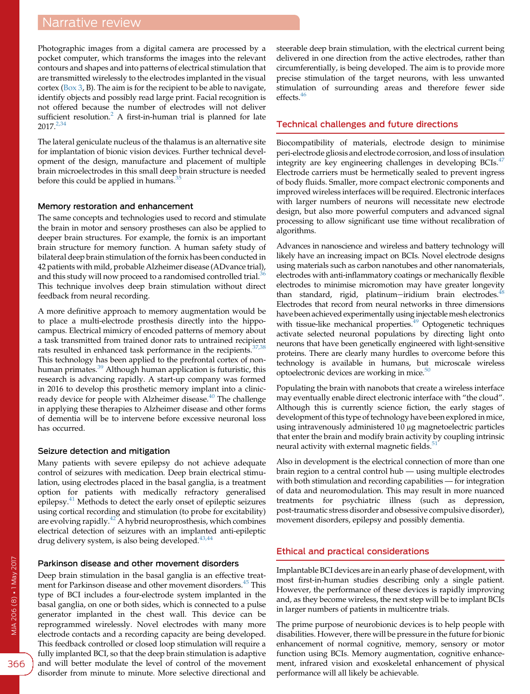Photographic images from a digital camera are processed by a pocket computer, which transforms the images into the relevant contours and shapes and into patterns of electrical stimulation that are transmitted wirelessly to the electrodes implanted in the visual cortex [\(Box 3,](#page-2-0) B). The aim is for the recipient to be able to navigate, identify objects and possibly read large print. Facial recognition is not offered because the number of electrodes will not deliver sufficient resolution.<sup>[2](#page-4-0)</sup> A first-in-human trial is planned for late 2017.[2,34](#page-4-0)

The lateral geniculate nucleus of the thalamus is an alternative site for implantation of bionic vision devices. Further technical development of the design, manufacture and placement of multiple brain microelectrodes in this small deep brain structure is needed before this could be applied in humans.<sup>[35](#page-5-0)</sup>

#### Memory restoration and enhancement

The same concepts and technologies used to record and stimulate the brain in motor and sensory prostheses can also be applied to deeper brain structures. For example, the fornix is an important brain structure for memory function. A human safety study of bilateral deep brain stimulation of the fornix has been conducted in 42 patients with mild, probable Alzheimer disease (ADvance trial), and this study will now proceed to a randomised controlled trial.<sup>3</sup> This technique involves deep brain stimulation without direct feedback from neural recording.

A more definitive approach to memory augmentation would be to place a multi-electrode prosthesis directly into the hippocampus. Electrical mimicry of encoded patterns of memory about a task transmitted from trained donor rats to untrained recipient rats resulted in enhanced task performance in the recipients.<sup>37</sup> This technology has been applied to the prefrontal cortex of non-human primates.<sup>[39](#page-5-0)</sup> Although human application is futuristic, this research is advancing rapidly. A start-up company was formed in 2016 to develop this prosthetic memory implant into a clinic-ready device for people with Alzheimer disease.<sup>[40](#page-5-0)</sup> The challenge in applying these therapies to Alzheimer disease and other forms of dementia will be to intervene before excessive neuronal loss has occurred.

#### Seizure detection and mitigation

Many patients with severe epilepsy do not achieve adequate control of seizures with medication. Deep brain electrical stimulation, using electrodes placed in the basal ganglia, is a treatment option for patients with medically refractory generalised epilepsy.<sup>[41](#page-5-0)</sup> Methods to detect the early onset of epileptic seizures using cortical recording and stimulation (to probe for excitability) are evolving rapidly.[42](#page-5-0) A hybrid neuroprosthesis, which combines electrical detection of seizures with an implanted anti-epileptic drug delivery system, is also being developed.<sup>[43,44](#page-5-0)</sup>

#### Parkinson disease and other movement disorders

Deep brain stimulation in the basal ganglia is an effective treat-ment for Parkinson disease and other movement disorders.<sup>[45](#page-5-0)</sup> This type of BCI includes a four-electrode system implanted in the basal ganglia, on one or both sides, which is connected to a pulse generator implanted in the chest wall. This device can be reprogrammed wirelessly. Novel electrodes with many more electrode contacts and a recording capacity are being developed. This feedback controlled or closed loop stimulation will require a fully implanted BCI, so that the deep brain stimulation is adaptive and will better modulate the level of control of the movement disorder from minute to minute. More selective directional and

steerable deep brain stimulation, with the electrical current being delivered in one direction from the active electrodes, rather than circumferentially, is being developed. The aim is to provide more precise stimulation of the target neurons, with less unwanted stimulation of surrounding areas and therefore fewer side effects.<sup>[46](#page-5-0)</sup>

#### Technical challenges and future directions

Biocompatibility of materials, electrode design to minimise peri-electrode gliosis and electrode corrosion, and loss of insulation integrity are key engineering challenges in developing BCIs.<sup>[47](#page-5-0)</sup> Electrode carriers must be hermetically sealed to prevent ingress of body fluids. Smaller, more compact electronic components and improved wireless interfaces will be required. Electronic interfaces with larger numbers of neurons will necessitate new electrode design, but also more powerful computers and advanced signal processing to allow significant use time without recalibration of algorithms.

Advances in nanoscience and wireless and battery technology will likely have an increasing impact on BCIs. Novel electrode designs using materials such as carbon nanotubes and other nanomaterials, electrodes with anti-inflammatory coatings or mechanically flexible electrodes to minimise micromotion may have greater longevity than standard, rigid, platinum-iridium brain electrodes.<sup>4</sup> Electrodes that record from neural networks in three dimensions have been achieved experimentally using injectable mesh electronics with tissue-like mechanical properties.<sup>49</sup> Optogenetic techniques activate selected neuronal populations by directing light onto neurons that have been genetically engineered with light-sensitive proteins. There are clearly many hurdles to overcome before this technology is available in humans, but microscale wireless optoelectronic devices are working in mice. $50$ 

Populating the brain with nanobots that create a wireless interface may eventually enable direct electronic interface with "the cloud". Although this is currently science fiction, the early stages of development of this type of technology have been explored in mice, using intravenously administered 10 µg magnetoelectric particles that enter the brain and modify brain activity by coupling intrinsic neural activity with external magnetic fields.<sup>[51](#page-5-0)</sup>

Also in development is the electrical connection of more than one brain region to a central control hub — using multiple electrodes with both stimulation and recording capabilities — for integration of data and neuromodulation. This may result in more nuanced treatments for psychiatric illness (such as depression, post-traumatic stress disorder and obsessive compulsive disorder), movement disorders, epilepsy and possibly dementia.

### Ethical and practical considerations

Implantable BCI devices are in an early phase of development, with most first-in-human studies describing only a single patient. However, the performance of these devices is rapidly improving and, as they become wireless, the next step will be to implant BCIs in larger numbers of patients in multicentre trials.

The prime purpose of neurobionic devices is to help people with disabilities. However, there will be pressure in the future for bionic enhancement of normal cognitive, memory, sensory or motor function using BCIs. Memory augmentation, cognitive enhancement, infrared vision and exoskeletal enhancement of physical performance will all likely be achievable.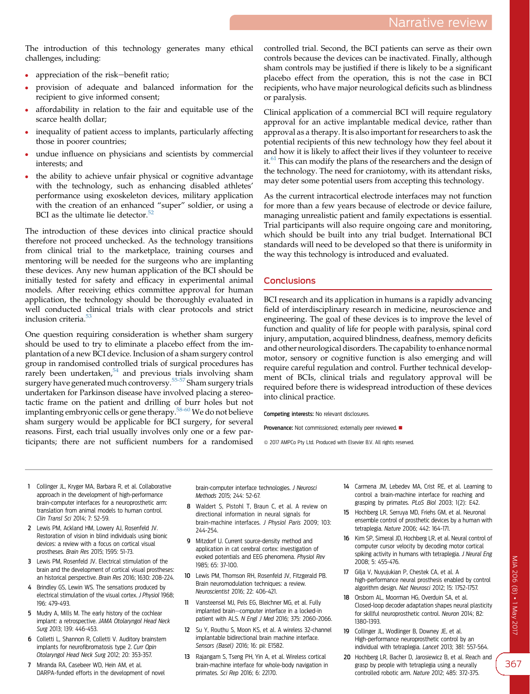<span id="page-4-0"></span>The introduction of this technology generates many ethical challenges, including:

- $\bullet$ appreciation of the risk-benefit ratio;
- $\bullet$  provision of adequate and balanced information for the recipient to give informed consent;
- affordability in relation to the fair and equitable use of the scarce health dollar;
- inequality of patient access to implants, particularly affecting those in poorer countries;
- undue influence on physicians and scientists by commercial interests; and
- the ability to achieve unfair physical or cognitive advantage with the technology, such as enhancing disabled athletes' performance using exoskeleton devices, military application with the creation of an enhanced "super" soldier, or using a BCI as the ultimate lie detector. $52$

The introduction of these devices into clinical practice should therefore not proceed unchecked. As the technology transitions from clinical trial to the marketplace, training courses and mentoring will be needed for the surgeons who are implanting these devices. Any new human application of the BCI should be initially tested for safety and efficacy in experimental animal models. After receiving ethics committee approval for human application, the technology should be thoroughly evaluated in well conducted clinical trials with clear protocols and strict inclusion criteria.<sup>53</sup>

One question requiring consideration is whether sham surgery should be used to try to eliminate a placebo effect from the implantation of a new BCI device. Inclusion of a sham surgery control group in randomised controlled trials of surgical procedures has rarely been undertaken, $54$  and previous trials involving sham surgery have generated much controversy.[55-57](#page-5-0) Sham surgery trials undertaken for Parkinson disease have involved placing a stereotactic frame on the patient and drilling of burr holes but not implanting embryonic cells or gene therapy.[58-60](#page-5-0) We do not believe sham surgery would be applicable for BCI surgery, for several reasons. First, each trial usually involves only one or a few participants; there are not sufficient numbers for a randomised controlled trial. Second, the BCI patients can serve as their own controls because the devices can be inactivated. Finally, although sham controls may be justified if there is likely to be a significant placebo effect from the operation, this is not the case in BCI recipients, who have major neurological deficits such as blindness or paralysis.

Clinical application of a commercial BCI will require regulatory approval for an active implantable medical device, rather than approval as a therapy. It is also important for researchers to ask the potential recipients of this new technology how they feel about it and how it is likely to affect their lives if they volunteer to receive it.<sup>[61](#page-5-0)</sup> This can modify the plans of the researchers and the design of the technology. The need for craniotomy, with its attendant risks, may deter some potential users from accepting this technology.

As the current intracortical electrode interfaces may not function for more than a few years because of electrode or device failure, managing unrealistic patient and family expectations is essential. Trial participants will also require ongoing care and monitoring, which should be built into any trial budget. International BCI standards will need to be developed so that there is uniformity in the way this technology is introduced and evaluated.

# **Conclusions**

BCI research and its application in humans is a rapidly advancing field of interdisciplinary research in medicine, neuroscience and engineering. The goal of these devices is to improve the level of function and quality of life for people with paralysis, spinal cord injury, amputation, acquired blindness, deafness, memory deficits and other neurological disorders. The capability to enhance normal motor, sensory or cognitive function is also emerging and will require careful regulation and control. Further technical development of BCIs, clinical trials and regulatory approval will be required before there is widespread introduction of these devices into clinical practice.

Competing interests: No relevant disclosures.

Provenance: Not commissioned: externally peer reviewed.

 $\odot$  2017 AMPCo Pty Ltd. Produced with Elsevier B.V. All rights reserved.

- 1 Collinger JL, Kryger MA, Barbara R, et al. Collaborative approach in the development of high-performance brain-computer interfaces for a neuroprosthetic arm: translation from animal models to human control. Clin Transl Sci 2014; 7: 52-59.
- 2 Lewis PM, Ackland HM, Lowery AJ, Rosenfeld JV. Restoration of vision in blind individuals using bionic devices: a review with a focus on cortical visual prostheses. Brain Res 2015; 1595: 51-73.
- 3 Lewis PM, Rosenfeld JV. Electrical stimulation of the brain and the development of cortical visual prostheses: an historical perspective. Brain Res 2016; 1630: 208-224.
- 4 Brindley GS, Lewin WS. The sensations produced by electrical stimulation of the visual cortex. J Physiol 1968; 196: 479-493.
- 5 Mudry A, Mills M. The early history of the cochlear implant: a retrospective. JAMA Otolaryngol Head Neck Surg 2013; 139: 446-453.
- 6 Colletti L, Shannon R, Colletti V. Auditory brainstem implants for neurofibromatosis type 2. Curr Opin Otolaryngol Head Neck Surg 2012; 20: 353-357.
- 7 Miranda RA, Casebeer WD, Hein AM, et al. DARPA-funded efforts in the development of novel

brain-computer interface technologies. J Neurosci Methods 2015; 244: 52-67.

- 8 Waldert S, Pistohl T, Braun C, et al. A review on directional information in neural signals for brain-machine interfaces. J Physiol Paris 2009; 103: 244-254.
- 9 Mitzdorf U. Current source-density method and application in cat cerebral cortex: investigation of evoked potentials and EEG phenomena. Physiol Rev 1985; 65: 37-100.
- 10 Lewis PM, Thomson RH, Rosenfeld JV, Fitzgerald PB. Brain neuromodulation techniques: a review. Neuroscientist 2016; 22: 406-421.
- 11 Vansteensel MJ, Pels EG, Bleichner MG, et al. Fully implanted brain-computer interface in a locked-in patient with ALS. N Engl J Med 2016; 375: 2060-2066.
- 12 Su Y, Routhu S, Moon KS, et al. A wireless 32-channel implantable bidirectional brain machine interface. Sensors (Basel) 2016; 16: pii: E1582.
- 13 Rajangam S, Tseng PH, Yin A, et al. Wireless cortical brain-machine interface for whole-body navigation in primates. Sci Rep 2016; 6: 22170.
- 14 Carmena JM, Lebedev MA, Crist RE, et al. Learning to control a brain-machine interface for reaching and grasping by primates. PLoS Biol 2003; 1(2): E42.
- 15 Hochberg LR, Serruya MD, Friehs GM, et al. Neuronal ensemble control of prosthetic devices by a human with tetraplegia. Nature 2006; 442: 164-171.
- 16 Kim SP, Simeral JD, Hochberg LR, et al. Neural control of computer cursor velocity by decoding motor cortical spiking activity in humans with tetraplegia. J Neural Eng 2008; 5: 455-476.
- 17 Gilja V, Nuyujukian P, Chestek CA, et al. A high-performance neural prosthesis enabled by control algorithm design. Nat Neurosci 2012; 15: 1752-1757.
- 18 Orsborn AL, Moorman HG, Overduin SA, et al. Closed-loop decoder adaptation shapes neural plasticity for skillful neuroprosthetic control. Neuron 2014; 82: 1380-1393.
- 19 Collinger JL, Wodlinger B, Downey JE, et al. High-performance neuroprosthetic control by an individual with tetraplegia. Lancet 2013; 381: 557-564.
- 20 Hochberg LR, Bacher D, Jarosiewicz B, et al. Reach and grasp by people with tetraplegia using a neurally controlled robotic arm. Nature 2012; 485: 372-375.